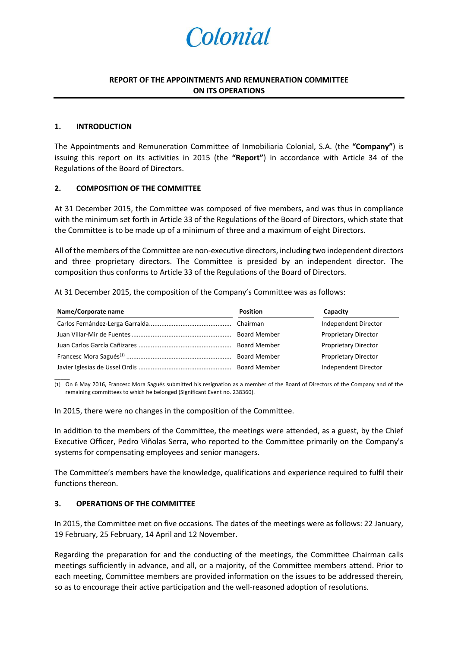# Colonial

## **REPORT OF THE APPOINTMENTS AND REMUNERATION COMMITTEE ON ITS OPERATIONS**

#### **1. INTRODUCTION**

 $\overline{\phantom{a}}$ 

The Appointments and Remuneration Committee of Inmobiliaria Colonial, S.A. (the **"Company"**) is issuing this report on its activities in 2015 (the **"Report"**) in accordance with Article 34 of the Regulations of the Board of Directors.

#### **2. COMPOSITION OF THE COMMITTEE**

At 31 December 2015, the Committee was composed of five members, and was thus in compliance with the minimum set forth in Article 33 of the Regulations of the Board of Directors, which state that the Committee is to be made up of a minimum of three and a maximum of eight Directors.

All of the members of the Committee are non-executive directors, including two independent directors and three proprietary directors. The Committee is presided by an independent director. The composition thus conforms to Article 33 of the Regulations of the Board of Directors.

At 31 December 2015, the composition of the Company's Committee was as follows:

| Name/Corporate name | <b>Position</b>     | Capacity                    |
|---------------------|---------------------|-----------------------------|
|                     |                     | Independent Director        |
|                     | <b>Board Member</b> | <b>Proprietary Director</b> |
|                     | <b>Board Member</b> | <b>Proprietary Director</b> |
|                     | <b>Board Member</b> | <b>Proprietary Director</b> |
|                     |                     | Independent Director        |

(1) On 6 May 2016, Francesc Mora Sagués submitted his resignation as a member of the Board of Directors of the Company and of the remaining committees to which he belonged (Significant Event no. 238360).

In 2015, there were no changes in the composition of the Committee.

In addition to the members of the Committee, the meetings were attended, as a guest, by the Chief Executive Officer, Pedro Viñolas Serra, who reported to the Committee primarily on the Company's systems for compensating employees and senior managers.

The Committee's members have the knowledge, qualifications and experience required to fulfil their functions thereon.

### **3. OPERATIONS OF THE COMMITTEE**

In 2015, the Committee met on five occasions. The dates of the meetings were as follows: 22 January, 19 February, 25 February, 14 April and 12 November.

Regarding the preparation for and the conducting of the meetings, the Committee Chairman calls meetings sufficiently in advance, and all, or a majority, of the Committee members attend. Prior to each meeting, Committee members are provided information on the issues to be addressed therein, so as to encourage their active participation and the well-reasoned adoption of resolutions.